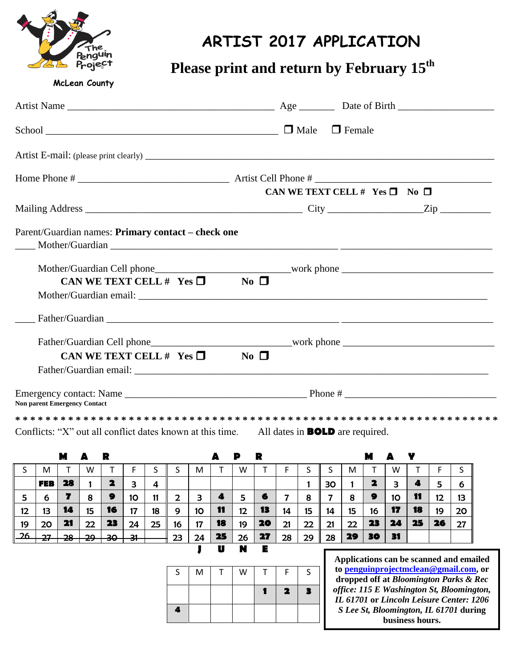

## **ARTIST 2017 APPLICATION**

## **Please print and return by February 15th**

**McLean County**

|                                                                                                  | CAN WE TEXT CELL # $Yes \Box No \Box$ |
|--------------------------------------------------------------------------------------------------|---------------------------------------|
|                                                                                                  |                                       |
| Parent/Guardian names: Primary contact – check one                                               |                                       |
| CAN WE TEXT CELL # $Yes \Box$ No $\Box$                                                          |                                       |
|                                                                                                  |                                       |
| CAN WE TEXT CELL # $Yes \Box$ No $\Box$                                                          |                                       |
| <b>Non parent Emergency Contact</b>                                                              |                                       |
|                                                                                                  |                                       |
| Conflicts: "X" out all conflict dates known at this time. All dates in <b>BOLD</b> are required. |                                       |

|    |            | M        | A         | R        |         |    |    |    |    | P      | R  |    |    |    |    | M  |    | Y  |    |    |
|----|------------|----------|-----------|----------|---------|----|----|----|----|--------|----|----|----|----|----|----|----|----|----|----|
|    | M          |          | w         |          |         | د  | S  | м  |    | W      |    |    |    |    | M  |    | W  |    |    |    |
|    | <b>FEB</b> | 28       |           |          | з       | 4  |    |    |    |        |    |    |    | 30 |    | 2  | З  | 4  | 5  | 6  |
| 5  | 6          | 7        | 8         | 9        | 10      | 11 | 2  | 3  | 4  | 5      | 6  | 7  | 8  |    | 8  | 9  | 10 | 11 | 12 | 13 |
| 12 | 13         | 14       | 15        | 16       | 17      | 18 | 9  | 10 | 11 | 12     | 13 | 14 | 15 | 14 | 15 | 16 | 17 | 18 | 19 | 20 |
| 19 | 20         | 21       | 22        | 23       | 24      | 25 | 16 | 17 | 18 | 19     | 20 | 21 | 22 | 21 | 22 | 23 | 24 | 25 | 26 | 27 |
| 26 | דר<br>27   | ററ<br>ZU | ົາດ<br>27 | ∍^<br>᠊ᡂ | 21<br>ᡨ |    | 23 | 24 | 25 | 26     | 27 | 28 | 29 | 28 | 29 | 30 | 31 |    |    |    |
|    |            |          |           |          |         |    |    |    | U  | N<br>K | Е  |    |    |    |    |    |    |    |    |    |





**Applications can be scanned and emailed to [penguinprojectmclean@gmail.com,](mailto:penguinprojectmclean@gmail.com) or dropped off at** *Bloomington Parks & Rec office: 115 E Washington St, Bloomington, IL 61701* **or** *Lincoln Leisure Center: 1206 S Lee St, Bloomington, IL 61701* **during business hours.**